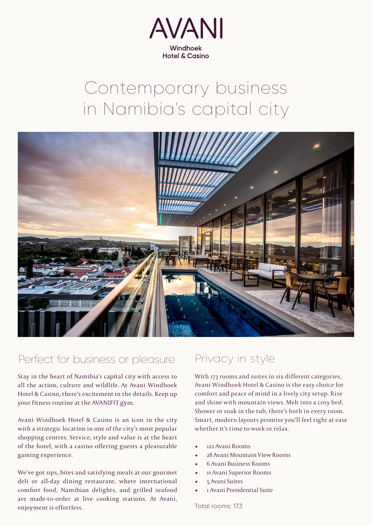

# Contemporary business in Namibia's capital city



#### Perfect for business or pleasure

Stay in the heart of Namibia's capital city with access to all the action, culture and wildlife. At Avani Windhoek Hotel & Casino, there's excitement in the details. Keep up your fitness routine at the AVANIFIT gym.

Avani Windhoek Hotel & Casino is an icon in the city with a strategic location in one of the city's most popular shopping centres. Service, style and value is at the heart of the hotel, with a casino offering guests a pleasurable gaming experience.

We've got sips, bites and satisfying meals at our gourmet deli or all-day dining restaurant, where international comfort food, Namibian delights, and grilled seafood are made-to-order at live cooking stations. At Avani, enjoyment is effortless.

### Privacy in style

With 173 rooms and suites in six different categories, Avani Windhoek Hotel & Casino is the easy choice for comfort and peace of mind in a lively city setup. Rise and shine with mountain views. Melt into a cosy bed. Shower or soak in the tub, there's both in every room. Smart, modern layouts promise you'll feel right at ease whether it's time to work or relax.

- 122 Avani Rooms
- 28 Avani Mountain View Rooms
- 6 Avani Business Rooms
- 11 Avani Superior Rooms
- 5 Avani Suites
- 1 Avani Presidential Suite

Total rooms: 173